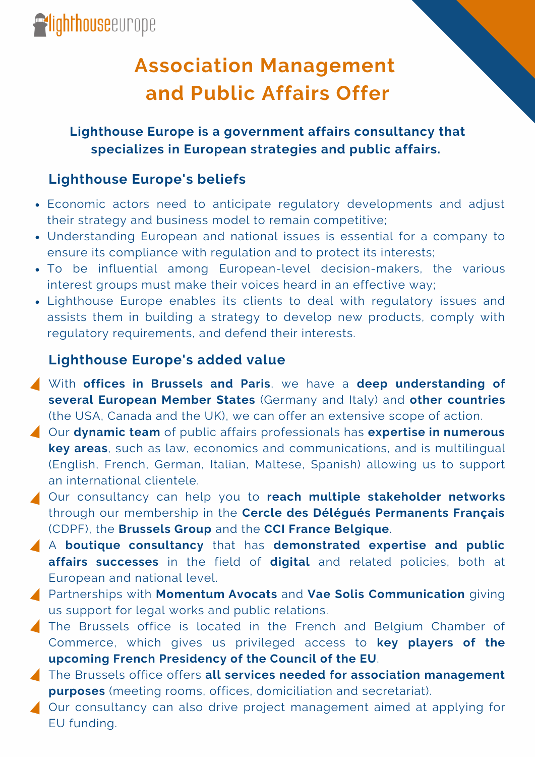## **Association Management and Public Affairs Offer**

**Lighthouse Europe is a government affairs consultancy that specializes in European strategies and public affairs.**

#### **Lighthouse Europe's beliefs**

- Economic actors need to anticipate regulatory developments and adjust their strategy and business model to remain competitive;
- Understanding European and national issues is essential for a company to ensure its compliance with regulation and to protect its interests;
- To be influential among European-level decision-makers, the various interest groups must make their voices heard in an effective way;
- Lighthouse Europe enables its clients to deal with regulatory issues and assists them in building a strategy to develop new products, comply with regulatory requirements, and defend their interests.

#### **Lighthouse Europe's added value**

- With **offices in Brussels and Paris**, we have a **deep understanding of several European Member States** (Germany and Italy) and **other countries** (the USA, Canada and the UK), we can offer an extensive scope of action.
- Our **dynamic team** of public affairs professionals has **expertise in numerous key areas**, such as law, economics and communications, and is multilingual (English, French, German, Italian, Maltese, Spanish) allowing us to support an international clientele.
- Our consultancy can help you to **reach multiple stakeholder networks** through our membership in the **Cercle des Délégués Permanents Français** (CDPF), the **Brussels Group** and the **CCI France Belgique**.
- A **boutique consultancy** that has **demonstrated expertise and public affairs successes** in the field of **digital** and related policies, both at European and national level.
- Partnerships with **Momentum Avocats** and **Vae Solis Communication** giving us support for legal works and public relations.
- The Brussels office is located in the French and Belgium Chamber of Commerce, which gives us privileged access to **key players of the upcoming French Presidency of the Council of the EU**.
- The Brussels office offers **all services needed for association management purposes** (meeting rooms, offices, domiciliation and secretariat).
- ▲ Our consultancy can also drive project management aimed at applying for EU funding.